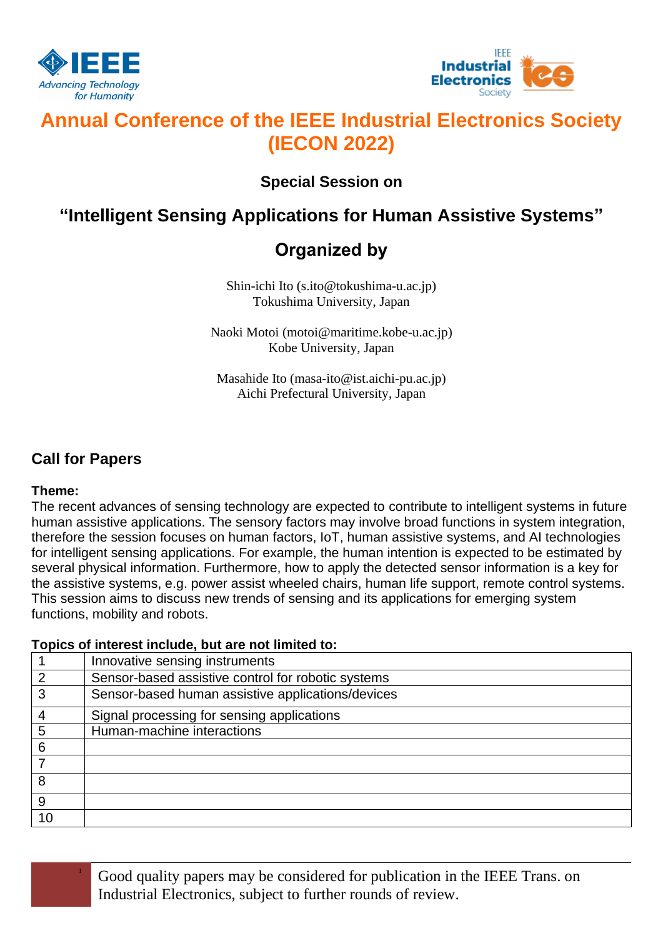



# **Annual Conference of the IEEE Industrial Electronics Society (IECON 2022)**

## **Special Session on**

## **"Intelligent Sensing Applications for Human Assistive Systems"**

## **Organized by**

Shin-ichi Ito (s.ito@tokushima-u.ac.jp) Tokushima University, Japan

Naoki Motoi (motoi@maritime.kobe-u.ac.jp) Kobe University, Japan

Masahide Ito (masa-ito@ist.aichi-pu.ac.jp) Aichi Prefectural University, Japan

## **Call for Papers**

### **Theme:**

The recent advances of sensing technology are expected to contribute to intelligent systems in future human assistive applications. The sensory factors may involve broad functions in system integration, therefore the session focuses on human factors, IoT, human assistive systems, and AI technologies for intelligent sensing applications. For example, the human intention is expected to be estimated by several physical information. Furthermore, how to apply the detected sensor information is a key for the assistive systems, e.g. power assist wheeled chairs, human life support, remote control systems. This session aims to discuss new trends of sensing and its applications for emerging system functions, mobility and robots.

### **Topics of interest include, but are not limited to:**

|    | Innovative sensing instruments                     |
|----|----------------------------------------------------|
|    | Sensor-based assistive control for robotic systems |
| 3  | Sensor-based human assistive applications/devices  |
|    | Signal processing for sensing applications         |
| 5  | Human-machine interactions                         |
| 6  |                                                    |
|    |                                                    |
| 8  |                                                    |
| 9  |                                                    |
| 10 |                                                    |

<sup>1</sup> Good quality papers may be considered for publication in the IEEE Trans. on Industrial Electronics, subject to further rounds of review.